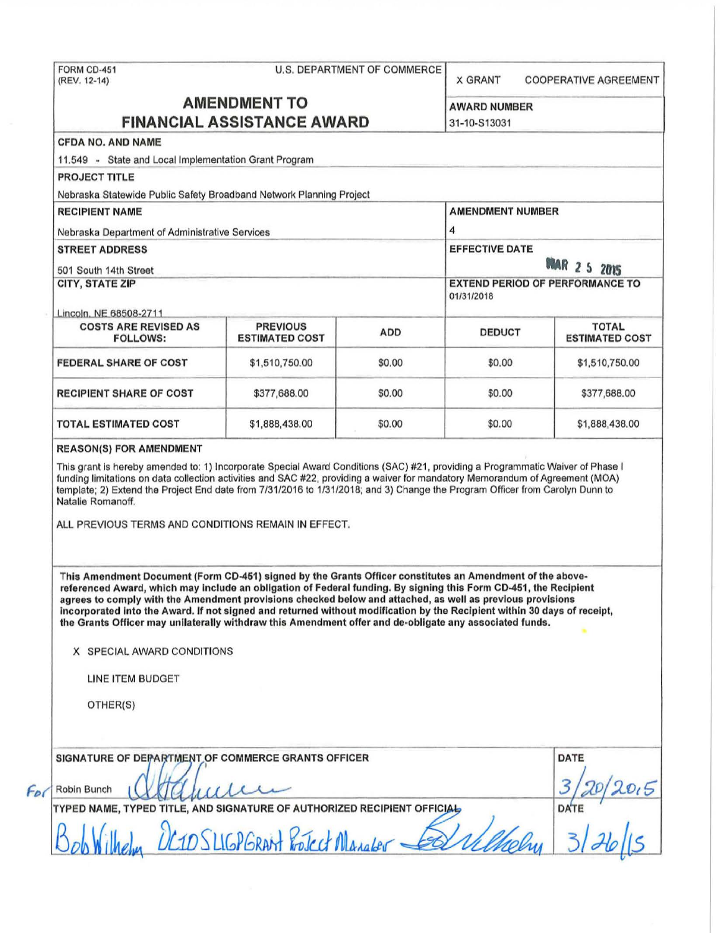|                                                                                                                                                                                                                                                                                                                                                                                                                                                                                                                                                                                   |                                 | U.S. DEPARTMENT OF COMMERCE | <b>X GRANT</b>                                                              | <b>COOPERATIVE AGREEMENT</b> |                                                |                                          |            |               |                                       |
|-----------------------------------------------------------------------------------------------------------------------------------------------------------------------------------------------------------------------------------------------------------------------------------------------------------------------------------------------------------------------------------------------------------------------------------------------------------------------------------------------------------------------------------------------------------------------------------|---------------------------------|-----------------------------|-----------------------------------------------------------------------------|------------------------------|------------------------------------------------|------------------------------------------|------------|---------------|---------------------------------------|
| <b>AMENDMENT TO</b><br><b>FINANCIAL ASSISTANCE AWARD</b>                                                                                                                                                                                                                                                                                                                                                                                                                                                                                                                          |                                 |                             | <b>AWARD NUMBER</b>                                                         |                              |                                                |                                          |            |               |                                       |
|                                                                                                                                                                                                                                                                                                                                                                                                                                                                                                                                                                                   |                                 |                             | 31-10-S13031                                                                |                              |                                                |                                          |            |               |                                       |
| <b>CFDA NO. AND NAME</b>                                                                                                                                                                                                                                                                                                                                                                                                                                                                                                                                                          |                                 |                             |                                                                             |                              |                                                |                                          |            |               |                                       |
| 11.549 - State and Local Implementation Grant Program                                                                                                                                                                                                                                                                                                                                                                                                                                                                                                                             |                                 |                             |                                                                             |                              |                                                |                                          |            |               |                                       |
| <b>PROJECT TITLE</b>                                                                                                                                                                                                                                                                                                                                                                                                                                                                                                                                                              |                                 |                             |                                                                             |                              |                                                |                                          |            |               |                                       |
| Nebraska Statewide Public Safety Broadband Network Planning Project                                                                                                                                                                                                                                                                                                                                                                                                                                                                                                               |                                 |                             |                                                                             |                              |                                                |                                          |            |               |                                       |
| <b>RECIPIENT NAME</b>                                                                                                                                                                                                                                                                                                                                                                                                                                                                                                                                                             |                                 | <b>AMENDMENT NUMBER</b>     |                                                                             |                              |                                                |                                          |            |               |                                       |
| Nebraska Department of Administrative Services                                                                                                                                                                                                                                                                                                                                                                                                                                                                                                                                    |                                 |                             | 4                                                                           |                              |                                                |                                          |            |               |                                       |
| <b>STREET ADDRESS</b>                                                                                                                                                                                                                                                                                                                                                                                                                                                                                                                                                             |                                 |                             | <b>EFFECTIVE DATE</b>                                                       |                              |                                                |                                          |            |               |                                       |
| 501 South 14th Street<br>CITY, STATE ZIP                                                                                                                                                                                                                                                                                                                                                                                                                                                                                                                                          |                                 |                             | <b>WAR 2 5 2015</b><br><b>EXTEND PERIOD OF PERFORMANCE TO</b><br>01/31/2018 |                              |                                                |                                          |            |               |                                       |
|                                                                                                                                                                                                                                                                                                                                                                                                                                                                                                                                                                                   |                                 |                             |                                                                             |                              | Lincoln, NE 68508-2711                         |                                          |            |               |                                       |
|                                                                                                                                                                                                                                                                                                                                                                                                                                                                                                                                                                                   |                                 |                             |                                                                             |                              | <b>COSTS ARE REVISED AS</b><br><b>FOLLOWS:</b> | <b>PREVIOUS</b><br><b>ESTIMATED COST</b> | <b>ADD</b> | <b>DEDUCT</b> | <b>TOTAL</b><br><b>ESTIMATED COST</b> |
| <b>FEDERAL SHARE OF COST</b>                                                                                                                                                                                                                                                                                                                                                                                                                                                                                                                                                      | \$1,510,750.00                  | \$0.00                      | \$0.00                                                                      | \$1,510,750.00               |                                                |                                          |            |               |                                       |
| <b>RECIPIENT SHARE OF COST</b>                                                                                                                                                                                                                                                                                                                                                                                                                                                                                                                                                    | \$377,688.00                    | \$0.00                      | \$0.00                                                                      | \$377,688.00                 |                                                |                                          |            |               |                                       |
| <b>TOTAL ESTIMATED COST</b>                                                                                                                                                                                                                                                                                                                                                                                                                                                                                                                                                       | \$1,888,438.00                  | \$0.00                      | \$0.00                                                                      | \$1,888,438.00               |                                                |                                          |            |               |                                       |
|                                                                                                                                                                                                                                                                                                                                                                                                                                                                                                                                                                                   |                                 |                             |                                                                             |                              |                                                |                                          |            |               |                                       |
| template; 2) Extend the Project End date from 7/31/2016 to 1/31/2018; and 3) Change the Program Officer from Carolyn Dunn to<br>Natalie Romanoff.<br>ALL PREVIOUS TERMS AND CONDITIONS REMAIN IN EFFECT.                                                                                                                                                                                                                                                                                                                                                                          |                                 |                             |                                                                             |                              |                                                |                                          |            |               |                                       |
| This Amendment Document (Form CD-451) signed by the Grants Officer constitutes an Amendment of the above-<br>referenced Award, which may include an obligation of Federal funding. By signing this Form CD-451, the Recipient<br>agrees to comply with the Amendment provisions checked below and attached, as well as previous provisions<br>incorporated into the Award. If not signed and returned without modification by the Recipient within 30 days of receipt,<br>the Grants Officer may unilaterally withdraw this Amendment offer and de-obligate any associated funds. |                                 |                             |                                                                             |                              |                                                |                                          |            |               |                                       |
| X SPECIAL AWARD CONDITIONS                                                                                                                                                                                                                                                                                                                                                                                                                                                                                                                                                        |                                 |                             |                                                                             |                              |                                                |                                          |            |               |                                       |
| <b>LINE ITEM BUDGET</b>                                                                                                                                                                                                                                                                                                                                                                                                                                                                                                                                                           |                                 |                             |                                                                             |                              |                                                |                                          |            |               |                                       |
| OTHER(S)                                                                                                                                                                                                                                                                                                                                                                                                                                                                                                                                                                          |                                 |                             |                                                                             |                              |                                                |                                          |            |               |                                       |
| SIGNATURE OF DEPARTMENT OF COMMERCE GRANTS OFFICER                                                                                                                                                                                                                                                                                                                                                                                                                                                                                                                                |                                 |                             |                                                                             | <b>DATE</b>                  |                                                |                                          |            |               |                                       |
| Robin Bunch                                                                                                                                                                                                                                                                                                                                                                                                                                                                                                                                                                       |                                 |                             |                                                                             |                              |                                                |                                          |            |               |                                       |
| TYPED NAME, TYPED TITLE, AND SIGNATURE OF AUTHORIZED RECIPIENT OFFICIAL                                                                                                                                                                                                                                                                                                                                                                                                                                                                                                           | OC1D SLIGPGRANT ProJect Manaber |                             |                                                                             | <b>DATE</b>                  |                                                |                                          |            |               |                                       |